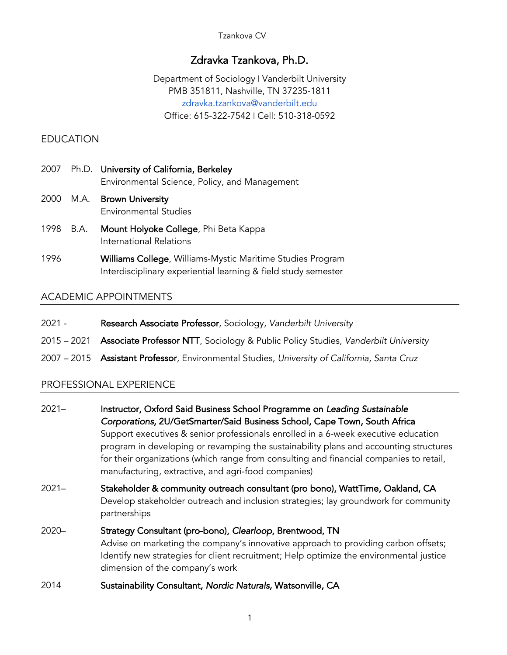Tzankova CV

# Zdravka Tzankova, Ph.D.

Department of Sociology | Vanderbilt University PMB 351811, Nashville, TN 37235-1811 zdravka.tzankova@vanderbilt.edu Office: 615-322-7542 | Cell: 510-318-0592

#### EDUCATION

- 2007 Ph.D. University of California, Berkeley Environmental Science, Policy, and Management
- 2000 M.A. Brown University Environmental Studies
- 1998 B.A. Mount Holyoke College, Phi Beta Kappa International Relations
- 1996 Williams College, Williams-Mystic Maritime Studies Program Interdisciplinary experiential learning & field study semester

## ACADEMIC APPOINTMENTS

- 2021 Research Associate Professor, Sociology, *Vanderbilt University*
- 2015 2021 Associate Professor NTT, Sociology & Public Policy Studies, *Vanderbilt University*
- 2007 2015 Assistant Professor, Environmental Studies, *University of California, Santa Cruz*

# PROFESSIONAL EXPERIENCE

| $2021 -$ | Instructor, Oxford Said Business School Programme on Leading Sustainable<br>Corporations, 2U/GetSmarter/Said Business School, Cape Town, South Africa<br>Support executives & senior professionals enrolled in a 6-week executive education<br>program in developing or revamping the sustainability plans and accounting structures<br>for their organizations (which range from consulting and financial companies to retail,<br>manufacturing, extractive, and agri-food companies) |
|----------|----------------------------------------------------------------------------------------------------------------------------------------------------------------------------------------------------------------------------------------------------------------------------------------------------------------------------------------------------------------------------------------------------------------------------------------------------------------------------------------|
| $2021 -$ | Stakeholder & community outreach consultant (pro bono), WattTime, Oakland, CA<br>Develop stakeholder outreach and inclusion strategies; lay groundwork for community<br>partnerships                                                                                                                                                                                                                                                                                                   |
| 2020-    | Strategy Consultant (pro-bono), Clearloop, Brentwood, TN<br>Advise on marketing the company's innovative approach to providing carbon offsets;<br>Identify new strategies for client recruitment; Help optimize the environmental justice<br>dimension of the company's work                                                                                                                                                                                                           |

2014 Sustainability Consultant, *Nordic Naturals,* Watsonville, CA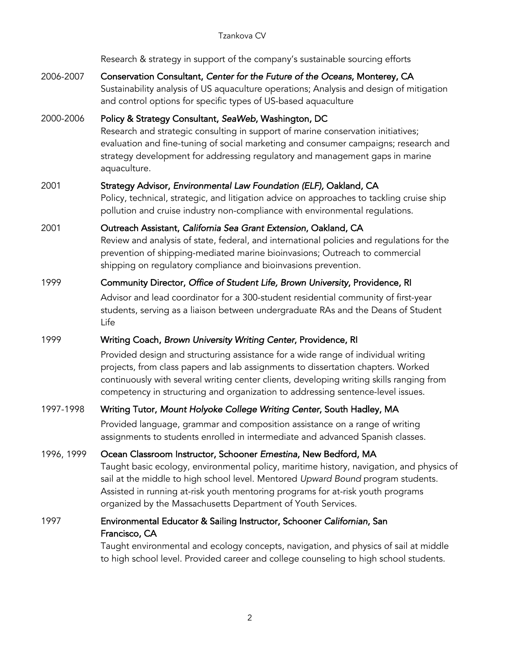Research & strategy in support of the company's sustainable sourcing efforts

2006-2007 Conservation Consultant, *Center for the Future of the Oceans*, Monterey, CA Sustainability analysis of US aquaculture operations; Analysis and design of mitigation and control options for specific types of US-based aquaculture

2000-2006 Policy & Strategy Consultant, *SeaWeb*, Washington, DC Research and strategic consulting in support of marine conservation initiatives; evaluation and fine-tuning of social marketing and consumer campaigns; research and strategy development for addressing regulatory and management gaps in marine aquaculture.

### 2001 Strategy Advisor, *Environmental Law Foundation (ELF),* Oakland, CA

Policy, technical, strategic, and litigation advice on approaches to tackling cruise ship pollution and cruise industry non-compliance with environmental regulations.

2001 Outreach Assistant, *California Sea Grant Extension*, Oakland, CA Review and analysis of state, federal, and international policies and regulations for the prevention of shipping-mediated marine bioinvasions; Outreach to commercial shipping on regulatory compliance and bioinvasions prevention.

#### 1999 Community Director, *Office of Student Life, Brown University*, Providence, RI

Advisor and lead coordinator for a 300-student residential community of first-year students, serving as a liaison between undergraduate RAs and the Deans of Student Life

#### 1999 Writing Coach, *Brown University Writing Center*, Providence, RI

Provided design and structuring assistance for a wide range of individual writing projects, from class papers and lab assignments to dissertation chapters. Worked continuously with several writing center clients, developing writing skills ranging from competency in structuring and organization to addressing sentence-level issues.

### 1997-1998 Writing Tutor, *Mount Holyoke College Writing Center*, South Hadley, MA

Provided language, grammar and composition assistance on a range of writing assignments to students enrolled in intermediate and advanced Spanish classes.

#### 1996, 1999 Ocean Classroom Instructor, Schooner *Ernestina*, New Bedford, MA

Taught basic ecology, environmental policy, maritime history, navigation, and physics of sail at the middle to high school level. Mentored *Upward Bound* program students. Assisted in running at-risk youth mentoring programs for at-risk youth programs organized by the Massachusetts Department of Youth Services.

## 1997 Environmental Educator & Sailing Instructor, Schooner *Californian*, San Francisco, CA

Taught environmental and ecology concepts, navigation, and physics of sail at middle to high school level. Provided career and college counseling to high school students.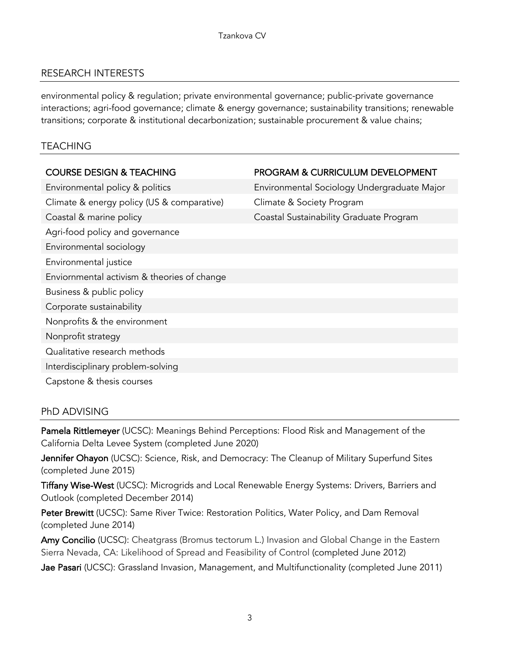# RESEARCH INTERESTS

environmental policy & regulation; private environmental governance; public-private governance interactions; agri-food governance; climate & energy governance; sustainability transitions; renewable transitions; corporate & institutional decarbonization; sustainable procurement & value chains;

## TEACHING

## COURSE DESIGN & TEACHING PROGRAM & CURRICULUM DEVELOPMENT

Environmental policy & politics Environmental Sociology Undergraduate Major Climate & energy policy (US & comparative) Climate & Society Program Coastal & marine policy Coastal Sustainability Graduate Program Agri-food policy and governance Environmental sociology Environmental justice Enviornmental activism & theories of change Business & public policy Corporate sustainability Nonprofits & the environment Nonprofit strategy Qualitative research methods Interdisciplinary problem-solving

Capstone & thesis courses

# PhD ADVISING

Pamela Rittlemeyer (UCSC): Meanings Behind Perceptions: Flood Risk and Management of the California Delta Levee System (completed June 2020)

Jennifer Ohayon (UCSC): Science, Risk, and Democracy: The Cleanup of Military Superfund Sites (completed June 2015)

Tiffany Wise-West (UCSC): Microgrids and Local Renewable Energy Systems: Drivers, Barriers and Outlook (completed December 2014)

Peter Brewitt (UCSC): Same River Twice: Restoration Politics, Water Policy, and Dam Removal (completed June 2014)

Amy Concilio (UCSC): Cheatgrass (Bromus tectorum L.) Invasion and Global Change in the Eastern Sierra Nevada, CA: Likelihood of Spread and Feasibility of Control (completed June 2012)

Jae Pasari (UCSC): Grassland Invasion, Management, and Multifunctionality (completed June 2011)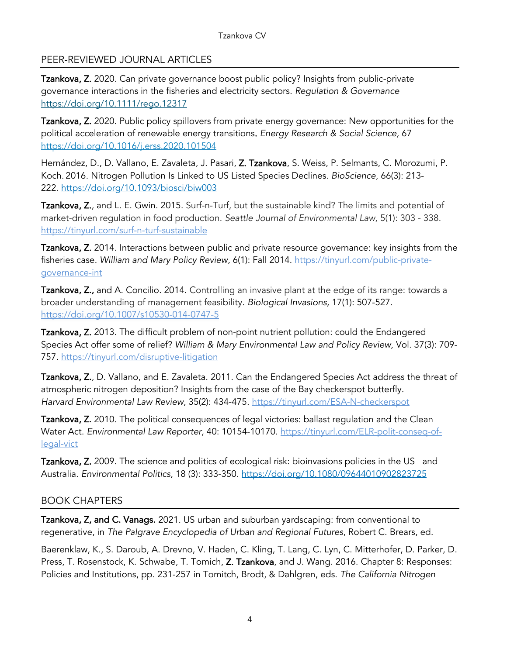# PEER-REVIEWED JOURNAL ARTICLES

Tzankova, Z. 2020*.* Can private governance boost public policy? Insights from public-private governance interactions in the fisheries and electricity sectors. *Regulation & Governance* https://doi.org/10.1111/rego.12317

Tzankova, Z. 2020. Public policy spillovers from private energy governance: New opportunities for the political acceleration of renewable energy transitions. *Energy Research & Social Science,* 67 https://doi.org/10.1016/j.erss.2020.101504

Hernández, D., D. Vallano, E. Zavaleta, J. Pasari, Z. Tzankova, S. Weiss, P. Selmants, C. Morozumi, P. Koch. 2016. Nitrogen Pollution Is Linked to US Listed Species Declines. *BioScience*, 66(3): 213- 222. https://doi.org/10.1093/biosci/biw003

Tzankova, Z., and L. E. Gwin. 2015. Surf-n-Turf, but the sustainable kind? The limits and potential of market-driven regulation in food production. *Seattle Journal of Environmental Law,* 5(1): 303 - 338. https://tinyurl.com/surf-n-turf-sustainable

Tzankova, Z. 2014. Interactions between public and private resource governance: key insights from the fisheries case. *William and Mary Policy Review, 6(1)*: Fall 2014. https://tinyurl.com/public-privategovernance-int

Tzankova, Z., and A. Concilio. 2014. Controlling an invasive plant at the edge of its range: towards a broader understanding of management feasibility. *Biological Invasions,* 17(1): 507-527. https://doi.org/10.1007/s10530-014-0747-5

Tzankova, Z. 2013*.* The difficult problem of non-point nutrient pollution: could the Endangered Species Act offer some of relief? *William & Mary Environmental Law and Policy Review,* Vol. 37(3): 709- 757. https://tinyurl.com/disruptive-litigation

Tzankova, Z., D. Vallano, and E. Zavaleta. 2011. Can the Endangered Species Act address the threat of atmospheric nitrogen deposition? Insights from the case of the Bay checkerspot butterfly. *Harvard Environmental Law Review,* 35(2): 434-475. https://tinyurl.com/ESA-N-checkerspot

Tzankova, Z. 2010. The political consequences of legal victories: ballast regulation and the Clean Water Act. *Environmental Law Reporter,* 40: 10154-10170. https://tinyurl.com/ELR-polit-conseq-oflegal-vict

Tzankova, Z. 2009. The science and politics of ecological risk: bioinvasions policies in the US and Australia. *Environmental Politics,* 18 (3): 333-350. https://doi.org/10.1080/09644010902823725

### BOOK CHAPTERS

Tzankova, Z, and C. Vanags. 2021. US urban and suburban yardscaping: from conventional to regenerative, in *The Palgrave Encyclopedia of Urban and Regional Futures*, Robert C. Brears, ed.

Baerenklaw, K., S. Daroub, A. Drevno, V. Haden, C. Kling, T. Lang, C. Lyn, C. Mitterhofer, D. Parker, D. Press, T. Rosenstock, K. Schwabe, T. Tomich, Z. Tzankova, and J. Wang. 2016. Chapter 8: Responses: Policies and Institutions, pp. 231-257 in Tomitch, Brodt, & Dahlgren, eds. *The California Nitrogen*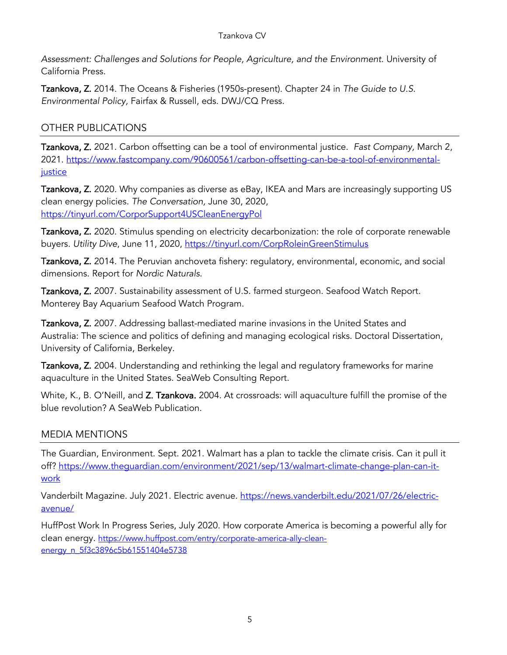*Assessment: Challenges and Solutions for People, Agriculture, and the Environment*. University of California Press.

Tzankova, Z. 2014. The Oceans & Fisheries (1950s-present). Chapter 24 in *The Guide to U.S. Environmental Policy,* Fairfax & Russell, eds. DWJ/CQ Press.

# OTHER PUBLICATIONS

Tzankova, Z. 2021. Carbon offsetting can be a tool of environmental justice. *Fast Company,* March 2, 2021. https://www.fastcompany.com/90600561/carbon-offsetting-can-be-a-tool-of-environmentaljustice

Tzankova, Z. 2020. Why companies as diverse as eBay, IKEA and Mars are increasingly supporting US clean energy policies. *The Conversation,* June 30, 2020, https://tinyurl.com/CorporSupport4USCleanEnergyPol

Tzankova, Z. 2020. Stimulus spending on electricity decarbonization: the role of corporate renewable buyers. *Utility Dive*, June 11, 2020, https://tinyurl.com/CorpRoleinGreenStimulus

Tzankova, Z. 2014. The Peruvian anchoveta fishery: regulatory, environmental, economic, and social dimensions. Report for *Nordic Naturals.* 

Tzankova, Z. 2007. Sustainability assessment of U.S. farmed sturgeon. Seafood Watch Report. Monterey Bay Aquarium Seafood Watch Program.

Tzankova, Z. 2007. Addressing ballast-mediated marine invasions in the United States and Australia: The science and politics of defining and managing ecological risks. Doctoral Dissertation, University of California, Berkeley.

Tzankova, Z. 2004. Understanding and rethinking the legal and regulatory frameworks for marine aquaculture in the United States. SeaWeb Consulting Report.

White, K., B. O'Neill, and Z. Tzankova. 2004. At crossroads: will aquaculture fulfill the promise of the blue revolution? A SeaWeb Publication.

# MEDIA MENTIONS

The Guardian, Environment. Sept. 2021. Walmart has a plan to tackle the climate crisis. Can it pull it off? https://www.thequardian.com/environment/2021/sep/13/walmart-climate-change-plan-can-itwork

Vanderbilt Magazine. July 2021. Electric avenue. https://news.vanderbilt.edu/2021/07/26/electricavenue/

HuffPost Work In Progress Series, July 2020. How corporate America is becoming a powerful ally for clean energy. https://www.huffpost.com/entry/corporate-america-ally-cleanenergy\_n\_5f3c3896c5b61551404e5738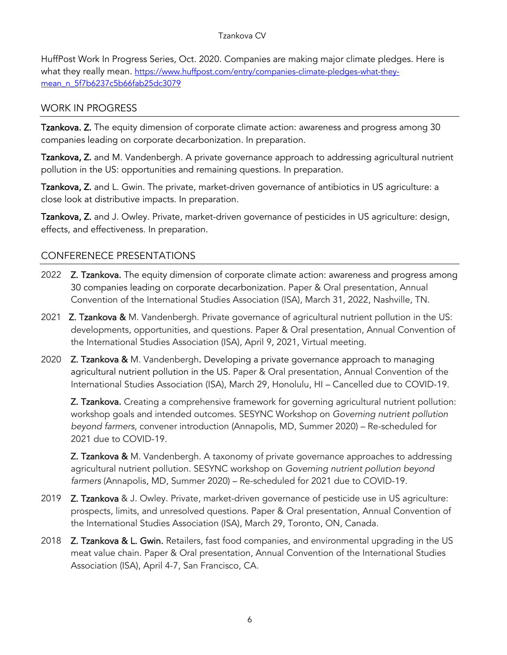HuffPost Work In Progress Series, Oct. 2020. Companies are making major climate pledges. Here is what they really mean. https://www.huffpost.com/entry/companies-climate-pledges-what-theymean\_n\_5f7b6237c5b66fab25dc3079

# WORK IN PROGRESS

Tzankova. Z. The equity dimension of corporate climate action: awareness and progress among 30 companies leading on corporate decarbonization. In preparation.

Tzankova, Z. and M. Vandenbergh. A private governance approach to addressing agricultural nutrient pollution in the US: opportunities and remaining questions. In preparation.

Tzankova, Z. and L. Gwin. The private, market-driven governance of antibiotics in US agriculture: a close look at distributive impacts. In preparation.

Tzankova, Z. and J. Owley. Private, market-driven governance of pesticides in US agriculture: design, effects, and effectiveness. In preparation.

# CONFERENECE PRESENTATIONS

- 2022 **Z. Tzankova.** The equity dimension of corporate climate action: awareness and progress among 30 companies leading on corporate decarbonization. Paper & Oral presentation, Annual Convention of the International Studies Association (ISA), March 31, 2022, Nashville, TN.
- 2021 **Z. Tzankova &** M. Vandenbergh. Private governance of agricultural nutrient pollution in the US: developments, opportunities, and questions. Paper & Oral presentation, Annual Convention of the International Studies Association (ISA), April 9, 2021, Virtual meeting.
- 2020 **Z. Tzankova &** M. Vandenbergh. Developing a private governance approach to managing agricultural nutrient pollution in the US. Paper & Oral presentation, Annual Convention of the International Studies Association (ISA), March 29, Honolulu, HI – Cancelled due to COVID-19.

Z. Tzankova. Creating a comprehensive framework for governing agricultural nutrient pollution: workshop goals and intended outcomes. SESYNC Workshop on *Governing nutrient pollution beyond farmers*, convener introduction (Annapolis, MD, Summer 2020) – Re-scheduled for 2021 due to COVID-19.

**Z. Tzankova &** M. Vandenbergh. A taxonomy of private governance approaches to addressing agricultural nutrient pollution. SESYNC workshop on *Governing nutrient pollution beyond farmers* (Annapolis, MD, Summer 2020) – Re-scheduled for 2021 due to COVID-19.

- 2019 **Z. Tzankova** & J. Owley. Private, market-driven governance of pesticide use in US agriculture: prospects, limits, and unresolved questions. Paper & Oral presentation, Annual Convention of the International Studies Association (ISA), March 29, Toronto, ON, Canada.
- 2018 Z. Tzankova & L. Gwin. Retailers, fast food companies, and environmental upgrading in the US meat value chain. Paper & Oral presentation, Annual Convention of the International Studies Association (ISA), April 4-7, San Francisco, CA.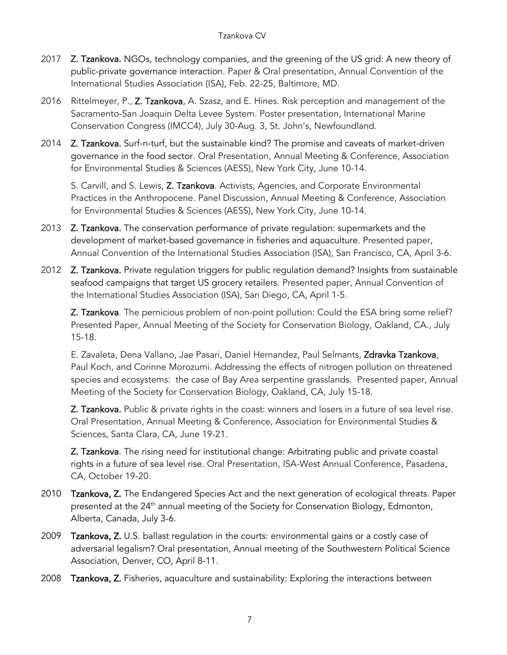- 2017 **Z. Tzankova.** NGOs, technology companies, and the greening of the US grid: A new theory of public-private governance interaction. Paper & Oral presentation, Annual Convention of the International Studies Association (ISA), Feb. 22-25, Baltimore, MD.
- 2016 Rittelmeyer, P., Z. Tzankova, A. Szasz, and E. Hines. Risk perception and management of the Sacramento-San Joaquin Delta Levee System. Poster presentation, International Marine Conservation Congress (IMCC4), July 30-Aug. 3, St. John's, Newfoundland.
- 2014 **Z. Tzankova.** Surf-n-turf, but the sustainable kind? The promise and caveats of market-driven governance in the food sector. Oral Presentation, Annual Meeting & Conference, Association for Environmental Studies & Sciences (AESS), New York City, June 10-14.

S. Carvill, and S. Lewis, Z. Tzankova. Activists, Agencies, and Corporate Environmental Practices in the Anthropocene. Panel Discussion, Annual Meeting & Conference, Association for Environmental Studies & Sciences (AESS), New York City, June 10-14.

- 2013 Z. Tzankova. The conservation performance of private regulation: supermarkets and the development of market-based governance in fisheries and aquaculture. Presented paper, Annual Convention of the International Studies Association (ISA), San Francisco, CA, April 3-6.
- 2012 **Z. Tzankova.** Private regulation triggers for public regulation demand? Insights from sustainable seafood campaigns that target US grocery retailers. Presented paper, Annual Convention of the International Studies Association (ISA), San Diego, CA, April 1-5.

**Z. Tzankova**. The pernicious problem of non-point pollution: Could the ESA bring some relief? Presented Paper, Annual Meeting of the Society for Conservation Biology, Oakland, CA., July 15-18.

E. Zavaleta, Dena Vallano, Jae Pasari, Daniel Hernandez, Paul Selmants, Zdravka Tzankova, Paul Koch, and Corinne Morozumi. Addressing the effects of nitrogen pollution on threatened species and ecosystems: the case of Bay Area serpentine grasslands. Presented paper, Annual Meeting of the Society for Conservation Biology, Oakland, CA, July 15-18.

Z. Tzankova. Public & private rights in the coast: winners and losers in a future of sea level rise. Oral Presentation, Annual Meeting & Conference, Association for Environmental Studies & Sciences, Santa Clara, CA, June 19-21.

Z. Tzankova. The rising need for institutional change: Arbitrating public and private coastal rights in a future of sea level rise. Oral Presentation, ISA-West Annual Conference, Pasadena, CA, October 19-20.

- 2010 Tzankova, Z. The Endangered Species Act and the next generation of ecological threats. Paper presented at the 24<sup>th</sup> annual meeting of the Society for Conservation Biology, Edmonton, Alberta, Canada, July 3-6.
- 2009 Tzankova, Z. U.S. ballast regulation in the courts: environmental gains or a costly case of adversarial legalism? Oral presentation, Annual meeting of the Southwestern Political Science Association, Denver, CO, April 8-11.
- 2008 Tzankova, Z. Fisheries, aquaculture and sustainability: Exploring the interactions between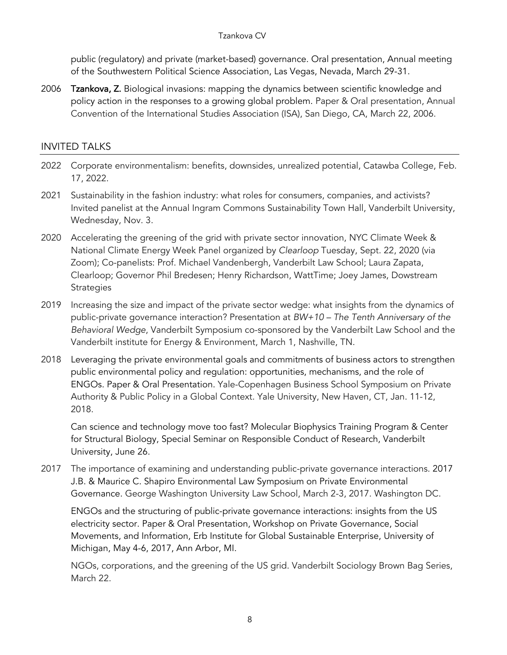#### Tzankova CV

public (regulatory) and private (market-based) governance. Oral presentation, Annual meeting of the Southwestern Political Science Association, Las Vegas, Nevada, March 29-31.

2006 Tzankova, Z. Biological invasions: mapping the dynamics between scientific knowledge and policy action in the responses to a growing global problem. Paper & Oral presentation, Annual Convention of the International Studies Association (ISA), San Diego, CA, March 22, 2006.

### INVITED TALKS

- 2022 Corporate environmentalism: benefits, downsides, unrealized potential, Catawba College, Feb. 17, 2022.
- 2021 Sustainability in the fashion industry: what roles for consumers, companies, and activists? Invited panelist at the Annual Ingram Commons Sustainability Town Hall, Vanderbilt University, Wednesday, Nov. 3.
- 2020 Accelerating the greening of the grid with private sector innovation, NYC Climate Week & National Climate Energy Week Panel organized by *Clearloop* Tuesday, Sept. 22, 2020 (via Zoom); Co-panelists: Prof. Michael Vandenbergh, Vanderbilt Law School; Laura Zapata, Clearloop; Governor Phil Bredesen; Henry Richardson, WattTime; Joey James, Dowstream **Strategies**
- 2019 Increasing the size and impact of the private sector wedge: what insights from the dynamics of public-private governance interaction? Presentation at *BW+10 – The Tenth Anniversary of the Behavioral Wedge*, Vanderbilt Symposium co-sponsored by the Vanderbilt Law School and the Vanderbilt institute for Energy & Environment, March 1, Nashville, TN.
- 2018 Leveraging the private environmental goals and commitments of business actors to strengthen public environmental policy and regulation: opportunities, mechanisms, and the role of ENGOs. Paper & Oral Presentation. Yale-Copenhagen Business School Symposium on Private Authority & Public Policy in a Global Context. Yale University, New Haven, CT, Jan. 11-12, 2018.

Can science and technology move too fast? Molecular Biophysics Training Program & Center for Structural Biology, Special Seminar on Responsible Conduct of Research, Vanderbilt University, June 26.

2017 The importance of examining and understanding public-private governance interactions. 2017 J.B. & Maurice C. Shapiro Environmental Law Symposium on Private Environmental Governance. George Washington University Law School, March 2-3, 2017. Washington DC.

ENGOs and the structuring of public-private governance interactions: insights from the US electricity sector. Paper & Oral Presentation, Workshop on Private Governance, Social Movements, and Information, Erb Institute for Global Sustainable Enterprise, University of Michigan, May 4-6, 2017, Ann Arbor, MI.

NGOs, corporations, and the greening of the US grid. Vanderbilt Sociology Brown Bag Series, March 22.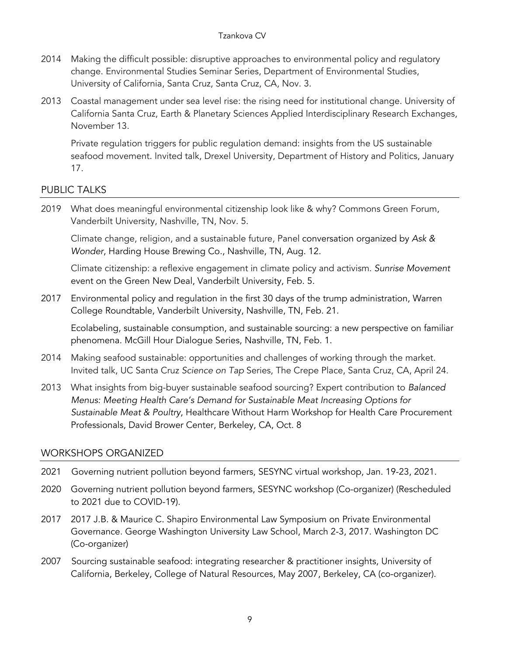#### Tzankova CV

- 2014 Making the difficult possible: disruptive approaches to environmental policy and regulatory change. Environmental Studies Seminar Series, Department of Environmental Studies, University of California, Santa Cruz, Santa Cruz, CA, Nov. 3.
- 2013 Coastal management under sea level rise: the rising need for institutional change. University of California Santa Cruz, Earth & Planetary Sciences Applied Interdisciplinary Research Exchanges, November 13.

Private regulation triggers for public regulation demand: insights from the US sustainable seafood movement. Invited talk, Drexel University, Department of History and Politics, January 17.

# PUBLIC TALKS

2019 What does meaningful environmental citizenship look like & why? Commons Green Forum, Vanderbilt University, Nashville, TN, Nov. 5.

Climate change, religion, and a sustainable future, Panel conversation organized by *Ask & Wonder*, Harding House Brewing Co., Nashville, TN, Aug. 12.

Climate citizenship: a reflexive engagement in climate policy and activism. *Sunrise Movement*  event on the Green New Deal, Vanderbilt University, Feb. 5.

2017 Environmental policy and regulation in the first 30 days of the trump administration, Warren College Roundtable, Vanderbilt University, Nashville, TN, Feb. 21.

Ecolabeling, sustainable consumption, and sustainable sourcing: a new perspective on familiar phenomena. McGill Hour Dialogue Series, Nashville, TN, Feb. 1.

- 2014 Making seafood sustainable: opportunities and challenges of working through the market. Invited talk, UC Santa Cruz *Science on Tap* Series, The Crepe Place, Santa Cruz, CA, April 24.
- 2013 What insights from big-buyer sustainable seafood sourcing? Expert contribution to *Balanced Menus: Meeting Health Care's Demand for Sustainable Meat Increasing Options for Sustainable Meat & Poultry*, Healthcare Without Harm Workshop for Health Care Procurement Professionals, David Brower Center, Berkeley, CA, Oct. 8

### WORKSHOPS ORGANIZED

- 2021 Governing nutrient pollution beyond farmers, SESYNC virtual workshop, Jan. 19-23, 2021.
- 2020 Governing nutrient pollution beyond farmers, SESYNC workshop (Co-organizer) (Rescheduled to 2021 due to COVID-19).
- 2017 2017 J.B. & Maurice C. Shapiro Environmental Law Symposium on Private Environmental Governance. George Washington University Law School, March 2-3, 2017. Washington DC (Co-organizer)
- 2007 Sourcing sustainable seafood: integrating researcher & practitioner insights, University of California, Berkeley, College of Natural Resources, May 2007, Berkeley, CA (co-organizer).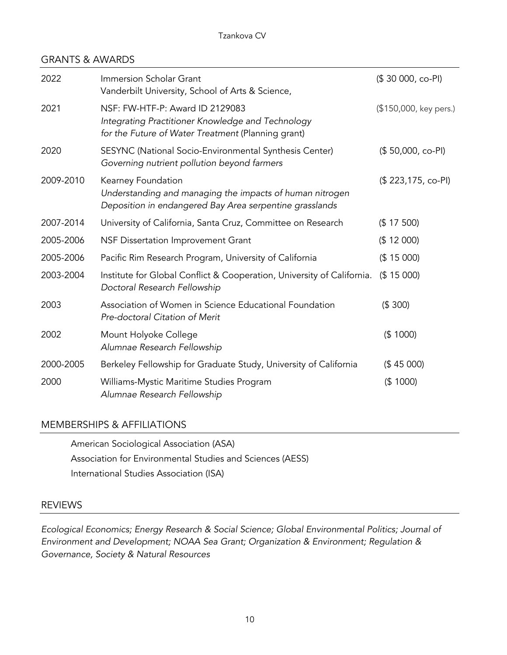### GRANTS & AWARDS

| 2022      | Immersion Scholar Grant<br>Vanderbilt University, School of Arts & Science,                                                                | (\$30 000, co-PI)      |
|-----------|--------------------------------------------------------------------------------------------------------------------------------------------|------------------------|
| 2021      | NSF: FW-HTF-P: Award ID 2129083<br>Integrating Practitioner Knowledge and Technology<br>for the Future of Water Treatment (Planning grant) | (\$150,000, key pers.) |
| 2020      | SESYNC (National Socio-Environmental Synthesis Center)<br>Governing nutrient pollution beyond farmers                                      | $($ 50,000, co-PI)$    |
| 2009-2010 | Kearney Foundation<br>Understanding and managing the impacts of human nitrogen<br>Deposition in endangered Bay Area serpentine grasslands  | (\$223,175, co-PI)     |
| 2007-2014 | University of California, Santa Cruz, Committee on Research                                                                                | (\$ 17 500)            |
| 2005-2006 | NSF Dissertation Improvement Grant                                                                                                         | (\$ 12 000)            |
| 2005-2006 | Pacific Rim Research Program, University of California                                                                                     | (\$15000)              |
| 2003-2004 | Institute for Global Conflict & Cooperation, University of California.<br>Doctoral Research Fellowship                                     | (\$ 15 000)            |
| 2003      | Association of Women in Science Educational Foundation<br>Pre-doctoral Citation of Merit                                                   | (\$300)                |
| 2002      | Mount Holyoke College<br>Alumnae Research Fellowship                                                                                       | (\$1000)               |
| 2000-2005 | Berkeley Fellowship for Graduate Study, University of California                                                                           | (\$45000)              |
| 2000      | Williams-Mystic Maritime Studies Program<br>Alumnae Research Fellowship                                                                    | (\$1000)               |

### MEMBERSHIPS & AFFILIATIONS

American Sociological Association (ASA) Association for Environmental Studies and Sciences (AESS) International Studies Association (ISA)

### REVIEWS

*Ecological Economics; Energy Research & Social Science; Global Environmental Politics; Journal of Environment and Development; NOAA Sea Grant; Organization & Environment; Regulation & Governance, Society & Natural Resources*